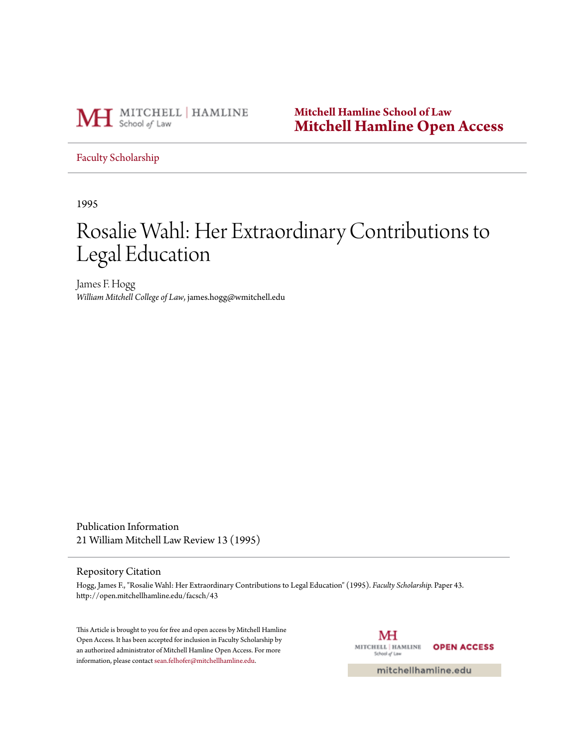

**Mitchell Hamline School of Law [Mitchell Hamline Open Access](http://open.mitchellhamline.edu)**

#### [Faculty Scholarship](http://open.mitchellhamline.edu/facsch)

1995

# Rosalie Wahl: Her Extraordinary Contributions to Legal Education

James F. Hogg *William Mitchell College of Law*, james.hogg@wmitchell.edu

Publication Information 21 William Mitchell Law Review 13 (1995)

#### Repository Citation

Hogg, James F., "Rosalie Wahl: Her Extraordinary Contributions to Legal Education" (1995). *Faculty Scholarship.* Paper 43. http://open.mitchellhamline.edu/facsch/43

This Article is brought to you for free and open access by Mitchell Hamline Open Access. It has been accepted for inclusion in Faculty Scholarship by an authorized administrator of Mitchell Hamline Open Access. For more information, please contact [sean.felhofer@mitchellhamline.edu.](mailto:sean.felhofer@mitchellhamline.edu)

МH MITCHELL | HAMLINE **OPEN ACCESS** School of Law

mitchellhamline.edu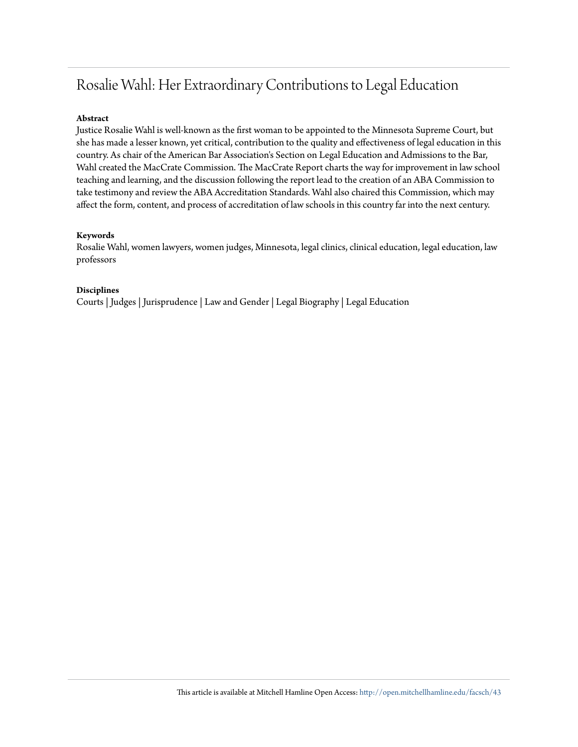## Rosalie Wahl: Her Extraordinary Contributions to Legal Education

#### **Abstract**

Justice Rosalie Wahl is well-known as the first woman to be appointed to the Minnesota Supreme Court, but she has made a lesser known, yet critical, contribution to the quality and effectiveness of legal education in this country. As chair of the American Bar Association's Section on Legal Education and Admissions to the Bar, Wahl created the MacCrate Commission. The MacCrate Report charts the way for improvement in law school teaching and learning, and the discussion following the report lead to the creation of an ABA Commission to take testimony and review the ABA Accreditation Standards. Wahl also chaired this Commission, which may affect the form, content, and process of accreditation of law schools in this country far into the next century.

#### **Keywords**

Rosalie Wahl, women lawyers, women judges, Minnesota, legal clinics, clinical education, legal education, law professors

#### **Disciplines**

Courts | Judges | Jurisprudence | Law and Gender | Legal Biography | Legal Education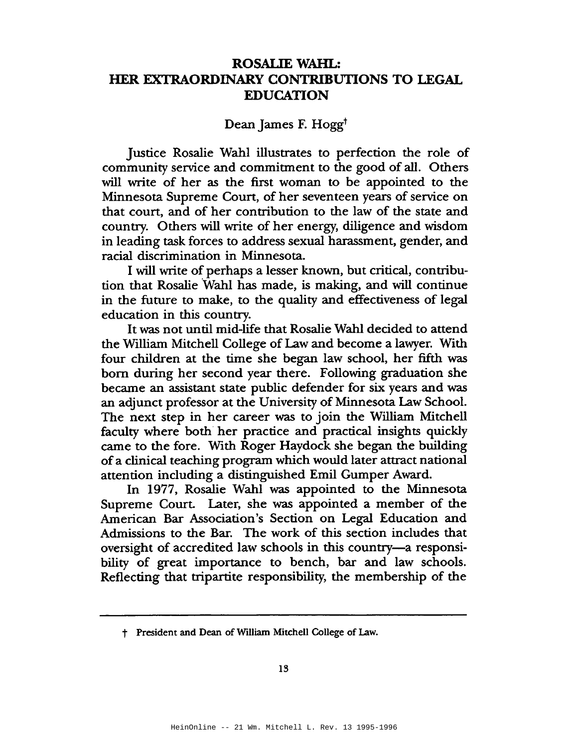## **ROSALIE WAHL:** HER EXTRAORDINARY CONTRIBUTIONS TO LEGAL **EDUCATION**

### Dean James F. Hogg<sup>t</sup>

Justice Rosalie Wahl illustrates to perfection the role of community service and commitment to the good of all. Others will write of her as the first woman to be appointed to the Minnesota Supreme Court, of her seventeen years of service on that court, and of her contribution to the law of the state and country. Others will write of her energy, diligence and wisdom in leading task forces to address sexual harassment, gender, and racial discrimination in Minnesota.

I will write of perhaps a lesser known, but critical, contribution that Rosalie Wahl has made, is making, and will continue in the future to make, to the quality and effectiveness of legal education in this country.

It was not until mid-life that Rosalie Wahl decided to attend the William Mitchell College of Law and become a lawyer. With four children at the time she began law school, her fifth was born during her second year there. Following graduation she became an assistant state public defender for six years and was an adjunct professor at the University of Minnesota Law School. The next step in her career was to join the William Mitchell faculty where both her practice and practical insights quickly came to the fore. With Roger Haydock she began the building of a clinical teaching program which would later attract national attention including a distinguished Emil Gumper Award.

In 1977, Rosalie Wahl was appointed to the Minnesota Supreme Court. Later, she was appointed a member of the American Bar Association's Section on Legal Education and Admissions to the Bar. The work of this section includes that oversight of accredited law schools in this country-a responsibility of great importance to bench, bar and law schools. Reflecting that tripartite responsibility, the membership of the

<sup>†</sup> President and Dean of William Mitchell College of Law.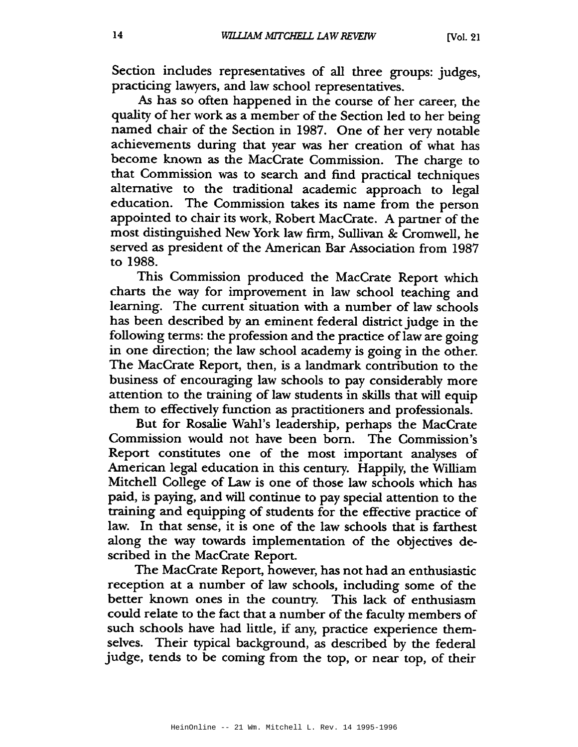Section includes representatives of all three groups: judges, practicing lawyers, and law school representatives.

As has so often happened in the course of her career, the quality of her work as a member of the Section led to her being named chair of the Section in 1987. One of her very notable achievements during that year was her creation of what has become known as the MacCrate Commission. The charge to that Commission was to search and find practical techniques alternative to the traditional academic approach to legal education. The Commission takes its name from the person appointed to chair its work, Robert MacCrate. A partner of the most distinguished New York law firm, Sullivan & Cromwell, he served as president of the American Bar Association from 1987 to 1988.

This Commission produced the MacCrate Report which charts the way for improvement in law school teaching and learning. The current situation with a number of law schools has been described by an eminent federal district judge in the following terms: the profession and the practice of law are going in one direction; the law school academy is going in the other. The MacCrate Report, then, is a landmark contribution to the business of encouraging law schools to pay considerably more attention to the training of law students in skills that will equip them to effectively function as practitioners and professionals.

But for Rosalie Wahl's leadership, perhaps the MacCrate Commission would not have been born. The Commission's Report constitutes one of the most important analyses of American legal education in this century. Happily, the William Mitchell College of Law is one of those law schools which has paid, is paying, and will continue to pay special attention to the training and equipping of students for the effective practice of law. In that sense, it is one of the law schools that is farthest along the way towards implementation of the objectives described in the MacCrate Report.

The MacCrate Report, however, has not had an enthusiastic reception at a number of law schools, including some of the better known ones in the country. This lack of enthusiasm could relate to the fact that a number of the faculty members of such schools have had little, if any, practice experience themselves. Their typical background, as described by the federal judge, tends to be coming from the top, or near top, of their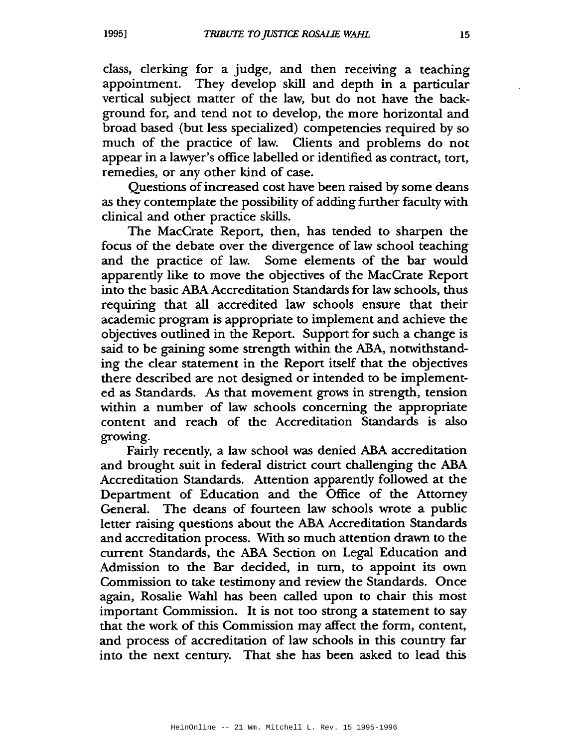class, clerking for a judge, and then receiving a teaching appointment. They develop skill and depth in a particular vertical subject matter of the law, but do not have the background for, and tend not to develop, the more horizontal and broad based (but less specialized) competencies required by so much of the practice of law. Clients and problems do not appear in a lawyer's office labelled or identified as contract, tort, remedies, or any other kind of case.

Questions of increased cost have been raised by some deans as they contemplate the possibility of adding further faculty with clinical and other practice skills.

The MacCrate Report, then, has tended to sharpen the focus of the debate over the divergence of law school teaching and the practice of law. Some elements of the bar would apparently like to move the objectives of the MacCrate Report into the basic ABA Accreditation Standards for law schools, thus requiring that all accredited law schools ensure that their academic program is appropriate to implement and achieve the objectives outlined in the Report. Support for such a change is said to be gaining some strength within the ABA, notwithstanding the clear statement in the Report itself that the objectives there described are not designed or intended to be implemented as Standards. As that movement grows in strength, tension within a number of law schools concerning the appropriate content and reach of the Accreditation Standards is also growing.

Fairly recently, a law school was denied ABA accreditation and brought suit in federal district court challenging the ABA Accreditation Standards. Attention apparently followed at the Department of Education and the Office of the Attorney General. The deans of fourteen law schools wrote a public letter raising questions about the ABA Accreditation Standards and accreditation process. With so much attention drawn to the current Standards, the ABA Section on Legal Education and Admission to the Bar decided, in turn, to appoint its own Commission to take testimony and review the Standards. Once again, Rosalie Wahl has been called upon to chair this most important Commission. It is not too strong a statement to say that the work of this Commission may affect the form, content, and process of accreditation of law schools in this country far into the next century. That she has been asked to lead this